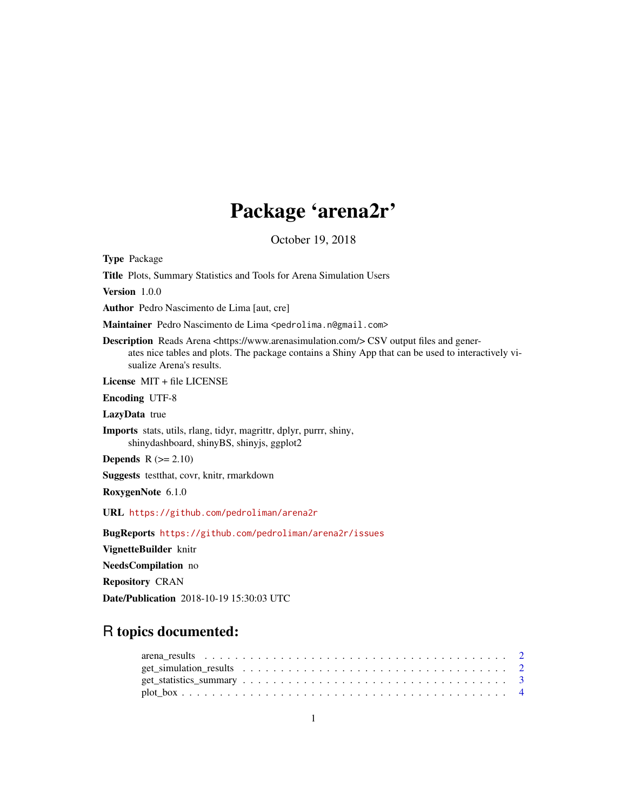## Package 'arena2r'

October 19, 2018

Type Package Title Plots, Summary Statistics and Tools for Arena Simulation Users Version 1.0.0 Author Pedro Nascimento de Lima [aut, cre] Maintainer Pedro Nascimento de Lima <pedrolima.n@gmail.com> Description Reads Arena <https://www.arenasimulation.com/> CSV output files and generates nice tables and plots. The package contains a Shiny App that can be used to interactively visualize Arena's results. License MIT + file LICENSE Encoding UTF-8 LazyData true Imports stats, utils, rlang, tidyr, magrittr, dplyr, purrr, shiny, shinydashboard, shinyBS, shinyjs, ggplot2 **Depends**  $R$  ( $>= 2.10$ ) Suggests testthat, covr, knitr, rmarkdown RoxygenNote 6.1.0 URL <https://github.com/pedroliman/arena2r> BugReports <https://github.com/pedroliman/arena2r/issues> VignetteBuilder knitr NeedsCompilation no Repository CRAN Date/Publication 2018-10-19 15:30:03 UTC

### R topics documented: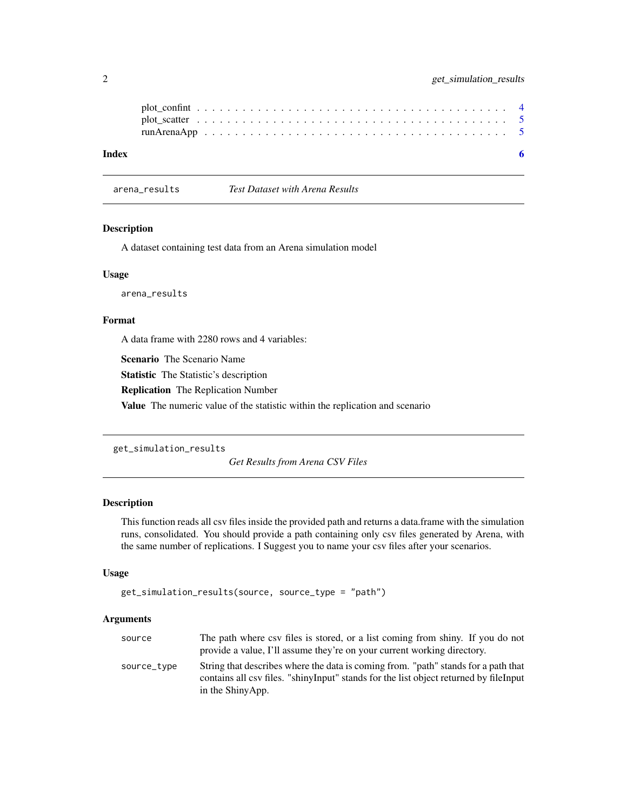<span id="page-1-0"></span>

| Index |  |  |  |  |  |  |  |  |  |  |  |  |  |  |  |  |
|-------|--|--|--|--|--|--|--|--|--|--|--|--|--|--|--|--|

arena\_results *Test Dataset with Arena Results*

#### Description

A dataset containing test data from an Arena simulation model

#### Usage

arena\_results

#### Format

A data frame with 2280 rows and 4 variables:

Scenario The Scenario Name

Statistic The Statistic's description

Replication The Replication Number

Value The numeric value of the statistic within the replication and scenario

```
get_simulation_results
```
*Get Results from Arena CSV Files*

#### Description

This function reads all csv files inside the provided path and returns a data.frame with the simulation runs, consolidated. You should provide a path containing only csv files generated by Arena, with the same number of replications. I Suggest you to name your csv files after your scenarios.

#### Usage

```
get_simulation_results(source, source_type = "path")
```
#### Arguments

| source      | The path where csv files is stored, or a list coming from shiny. If you do not<br>provide a value, I'll assume they're on your current working directory.                                       |
|-------------|-------------------------------------------------------------------------------------------------------------------------------------------------------------------------------------------------|
| source_type | String that describes where the data is coming from. "path" stands for a path that<br>contains all csv files. "shinyInput" stands for the list object returned by fileInput<br>in the ShinyApp. |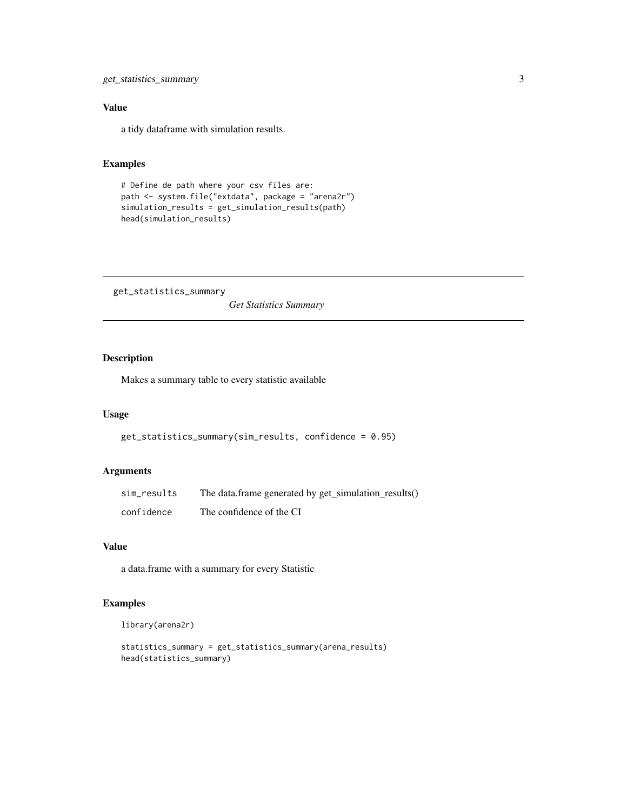#### <span id="page-2-0"></span>Value

a tidy dataframe with simulation results.

#### Examples

```
# Define de path where your csv files are:
path <- system.file("extdata", package = "arena2r")
simulation_results = get_simulation_results(path)
head(simulation_results)
```
get\_statistics\_summary

*Get Statistics Summary*

#### Description

Makes a summary table to every statistic available

#### Usage

```
get_statistics_summary(sim_results, confidence = 0.95)
```
#### Arguments

| sim_results | The data.frame generated by get_simulation_results() |
|-------------|------------------------------------------------------|
| confidence  | The confidence of the CI                             |

#### Value

a data.frame with a summary for every Statistic

#### Examples

```
library(arena2r)
```

```
statistics_summary = get_statistics_summary(arena_results)
head(statistics_summary)
```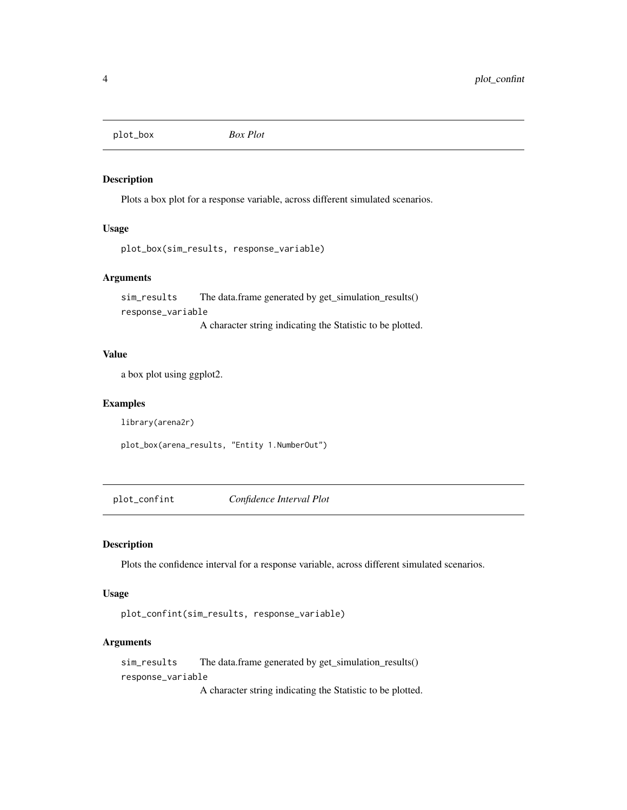<span id="page-3-0"></span>plot\_box *Box Plot*

#### Description

Plots a box plot for a response variable, across different simulated scenarios.

#### Usage

```
plot_box(sim_results, response_variable)
```
#### Arguments

sim\_results The data.frame generated by get\_simulation\_results() response\_variable

A character string indicating the Statistic to be plotted.

#### Value

a box plot using ggplot2.

#### Examples

library(arena2r)

plot\_box(arena\_results, "Entity 1.NumberOut")

plot\_confint *Confidence Interval Plot*

#### Description

Plots the confidence interval for a response variable, across different simulated scenarios.

#### Usage

```
plot_confint(sim_results, response_variable)
```
#### Arguments

sim\_results The data.frame generated by get\_simulation\_results() response\_variable

A character string indicating the Statistic to be plotted.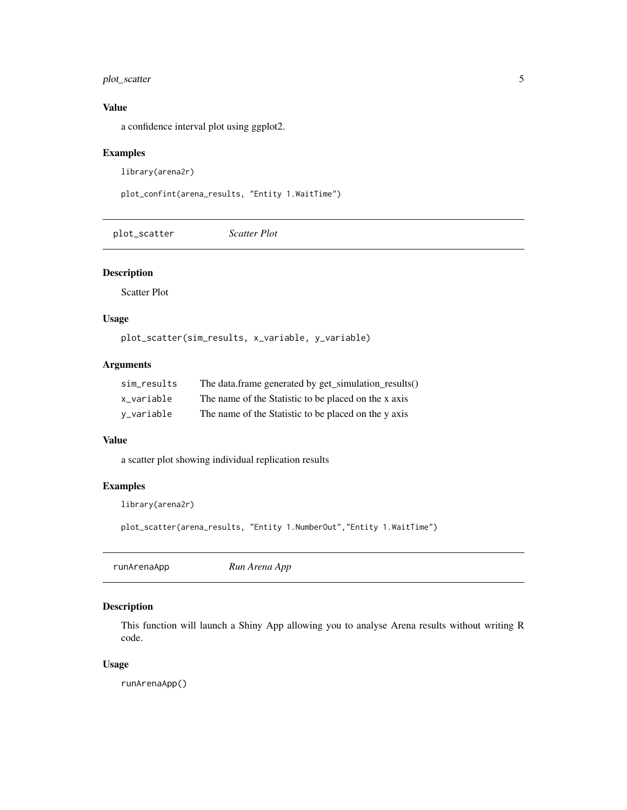#### <span id="page-4-0"></span>plot\_scatter 5

#### Value

a confidence interval plot using ggplot2.

#### Examples

library(arena2r)

```
plot_confint(arena_results, "Entity 1.WaitTime")
```
plot\_scatter *Scatter Plot*

#### Description

Scatter Plot

#### Usage

plot\_scatter(sim\_results, x\_variable, y\_variable)

#### Arguments

| sim results | The data.frame generated by get_simulation_results() |
|-------------|------------------------------------------------------|
| x variable  | The name of the Statistic to be placed on the x axis |
| v_variable  | The name of the Statistic to be placed on the y axis |

#### Value

a scatter plot showing individual replication results

#### Examples

library(arena2r)

plot\_scatter(arena\_results, "Entity 1.NumberOut","Entity 1.WaitTime")

|  | Run Arena App | runArenaApp |
|--|---------------|-------------|
|--|---------------|-------------|

#### Description

This function will launch a Shiny App allowing you to analyse Arena results without writing R code.

#### Usage

runArenaApp()